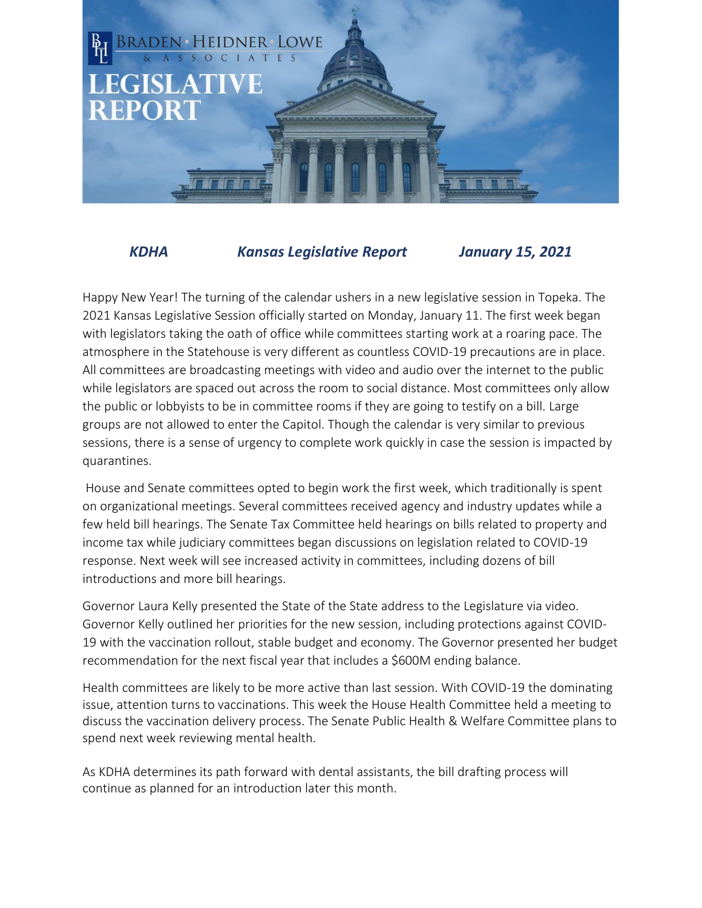

*KDHA Kansas Legislative Report January 15, 2021*

Happy New Year! The turning of the calendar ushers in a new legislative session in Topeka. The 2021 Kansas Legislative Session officially started on Monday, January 11. The first week began with legislators taking the oath of office while committees starting work at a roaring pace. The atmosphere in the Statehouse is very different as countless COVID-19 precautions are in place. All committees are broadcasting meetings with video and audio over the internet to the public while legislators are spaced out across the room to social distance. Most committees only allow the public or lobbyists to be in committee rooms if they are going to testify on a bill. Large groups are not allowed to enter the Capitol. Though the calendar is very similar to previous sessions, there is a sense of urgency to complete work quickly in case the session is impacted by quarantines.

House and Senate committees opted to begin work the first week, which traditionally is spent on organizational meetings. Several committees received agency and industry updates while a few held bill hearings. The Senate Tax Committee held hearings on bills related to property and income tax while judiciary committees began discussions on legislation related to COVID-19 response. Next week will see increased activity in committees, including dozens of bill introductions and more bill hearings.

Governor Laura Kelly presented the State of the State address to the Legislature via video. Governor Kelly outlined her priorities for the new session, including protections against COVID-19 with the vaccination rollout, stable budget and economy. The Governor presented her budget recommendation for the next fiscal year that includes a \$600M ending balance.

Health committees are likely to be more active than last session. With COVID-19 the dominating issue, attention turns to vaccinations. This week the House Health Committee held a meeting to discuss the vaccination delivery process. The Senate Public Health & Welfare Committee plans to spend next week reviewing mental health.

As KDHA determines its path forward with dental assistants, the bill drafting process will continue as planned for an introduction later this month.